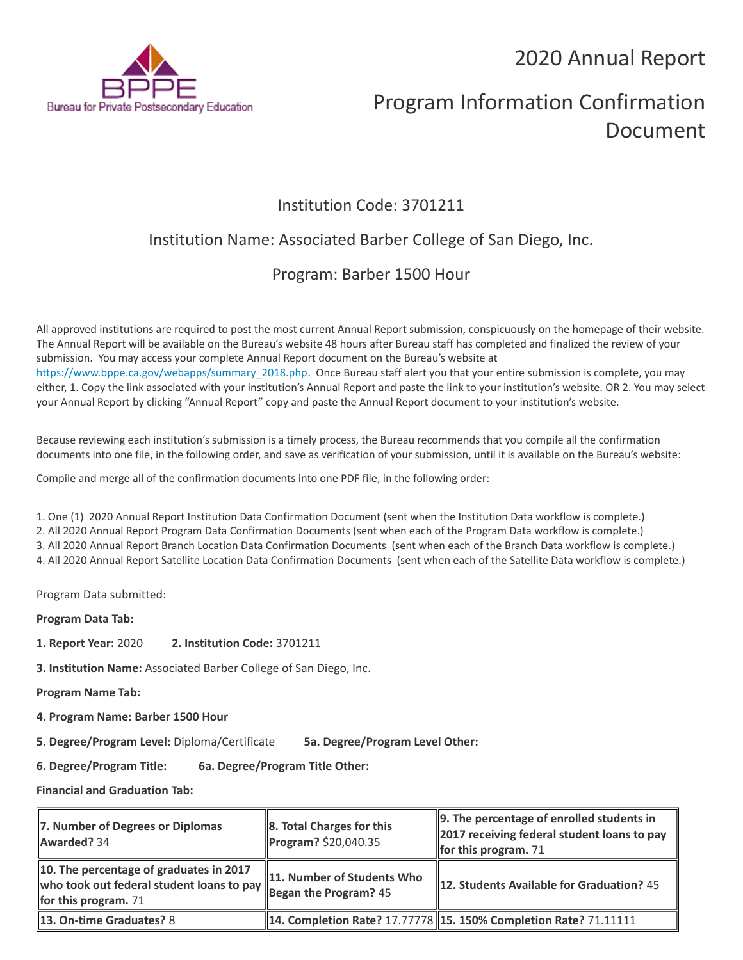2020 Annual Report



# Program Information Confirmation Document

### Institution Code: 3701211

## Institution Name: Associated Barber College of San Diego, Inc.

### Program: Barber 1500 Hour

All approved institutions are required to post the most current Annual Report submission, conspicuously on the homepage of their website. The Annual Report will be available on the Bureau's website 48 hours after Bureau staff has completed and finalized the review of your submission. You may access your complete Annual Report document on the Bureau's website at [https://www.bppe.ca.gov/webapps/summary\\_2018.php.](https://www.bppe.ca.gov/webapps/summary_2018.php) Once Bureau staff alert you that your entire submission is complete, you may either, 1. Copy the link associated with your institution's Annual Report and paste the link to your institution's website. OR 2. You may select your Annual Report by clicking "Annual Report" copy and paste the Annual Report document to your institution's website.

Because reviewing each institution's submission is a timely process, the Bureau recommends that you compile all the confirmation documents into one file, in the following order, and save as verification of your submission, until it is available on the Bureau's website:

Compile and merge all of the confirmation documents into one PDF file, in the following order:

1. One (1) 2020 Annual Report Institution Data Confirmation Document (sent when the Institution Data workflow is complete.) 2. All 2020 Annual Report Program Data Confirmation Documents (sent when each of the Program Data workflow is complete.) 3. All 2020 Annual Report Branch Location Data Confirmation Documents (sent when each of the Branch Data workflow is complete.) 4. All 2020 Annual Report Satellite Location Data Confirmation Documents (sent when each of the Satellite Data workflow is complete.)

Program Data submitted:

**Program Data Tab:**

- **1. Report Year:** 2020 **2. Institution Code:** 3701211
- **3. Institution Name:** Associated Barber College of San Diego, Inc.

**Program Name Tab:**

**4. Program Name: Barber 1500 Hour** 

**5. Degree/Program Level:** Diploma/Certificate **5a. Degree/Program Level Other:**

**6. Degree/Program Title: 6a. Degree/Program Title Other:**

**Financial and Graduation Tab:**

| 7. Number of Degrees or Diplomas<br>Awarded? 34                                                                | $\ $ 8. Total Charges for this<br>Program? \$20,040.35            | $\parallel$ 9. The percentage of enrolled students in<br>2017 receiving federal student loans to pay<br>for this program. $71$ |
|----------------------------------------------------------------------------------------------------------------|-------------------------------------------------------------------|--------------------------------------------------------------------------------------------------------------------------------|
| 10. The percentage of graduates in 2017<br>who took out federal student loans to pay<br>for this program. $71$ | 11. Number of Students Who<br>$\frac{1}{2}$ Began the Program? 45 | 12. Students Available for Graduation? 45                                                                                      |
| <b>13. On-time Graduates? 8</b>                                                                                |                                                                   | 14. Completion Rate? 17.77778   15. 150% Completion Rate? 71.11111                                                             |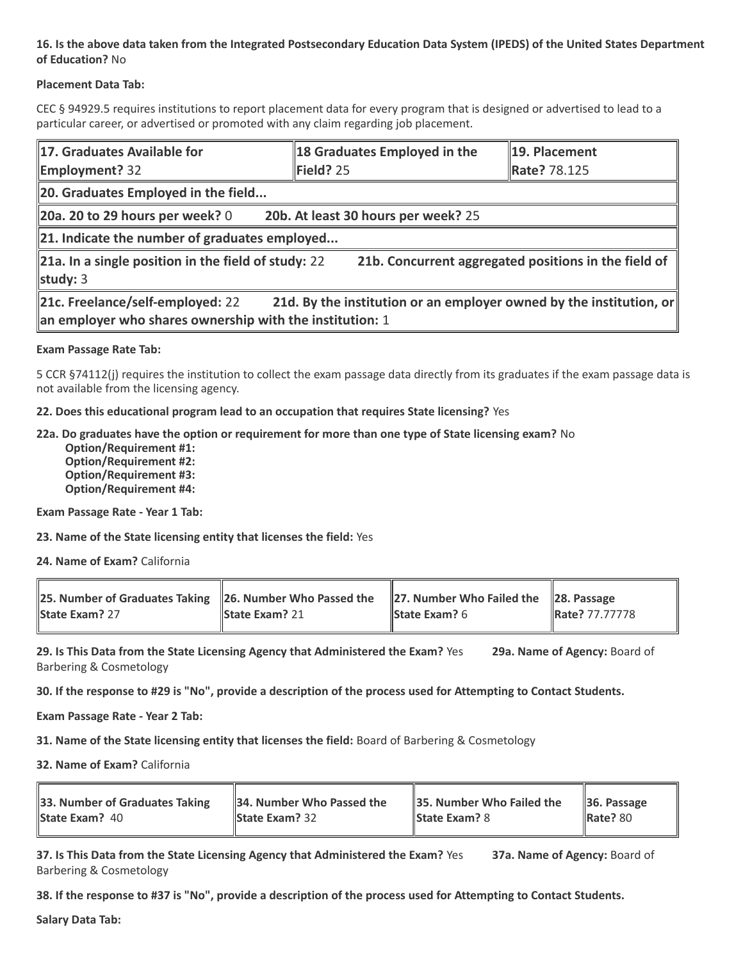#### **16. Is the above data taken from the Integrated Postsecondary Education Data System (IPEDS) of the United States Department of Education?** No

#### **Placement Data Tab:**

CEC § 94929.5 requires institutions to report placement data for every program that is designed or advertised to lead to a particular career, or advertised or promoted with any claim regarding job placement.

| 17. Graduates Available for                                                                                                                                         | 18 Graduates Employed in the        | 19. Placement       |  |  |
|---------------------------------------------------------------------------------------------------------------------------------------------------------------------|-------------------------------------|---------------------|--|--|
| <b>Employment?</b> 32                                                                                                                                               | Field? 25                           | <b>Rate? 78.125</b> |  |  |
| 20. Graduates Employed in the field                                                                                                                                 |                                     |                     |  |  |
| 20a. 20 to 29 hours per week? $0$                                                                                                                                   | 20b. At least 30 hours per week? 25 |                     |  |  |
| $\ $ 21. Indicate the number of graduates employed                                                                                                                  |                                     |                     |  |  |
| 21a. In a single position in the field of study: 22<br>21b. Concurrent aggregated positions in the field of<br>study: $3$                                           |                                     |                     |  |  |
| 21c. Freelance/self-employed: 22<br>21d. By the institution or an employer owned by the institution, or<br>an employer who shares ownership with the institution: 1 |                                     |                     |  |  |

#### **Exam Passage Rate Tab:**

5 CCR §74112(j) requires the institution to collect the exam passage data directly from its graduates if the exam passage data is not available from the licensing agency.

**22. Does this educational program lead to an occupation that requires State licensing?** Yes

**22a. Do graduates have the option or requirement for more than one type of State licensing exam?** No

 **Option/Requirement #1: Option/Requirement #2: Option/Requirement #3: Option/Requirement #4:**

**Exam Passage Rate - Year 1 Tab:**

**23. Name of the State licensing entity that licenses the field:** Yes

**24. Name of Exam?** California

| 25. Number of Graduates Taking 26. Number Who Passed the 27. Number Who Failed the 28. Passage<br>State Exam? 27 | <b>State Exam?</b> 21 | <b>State Exam?</b> $6$ | <b>Rate? 77.77778</b> |
|------------------------------------------------------------------------------------------------------------------|-----------------------|------------------------|-----------------------|
|                                                                                                                  |                       |                        |                       |

**29. Is This Data from the State Licensing Agency that Administered the Exam?** Yes **29a. Name of Agency:** Board of Barbering & Cosmetology

**30. If the response to #29 is "No", provide a description of the process used for Attempting to Contact Students.**

**Exam Passage Rate - Year 2 Tab:**

**31. Name of the State licensing entity that licenses the field:** Board of Barbering & Cosmetology

**32. Name of Exam?** California

| 33. Number of Graduates Taking | 34. Number Who Passed the | $\parallel$ 35. Number Who Failed the | $\vert$ 36. Passage |
|--------------------------------|---------------------------|---------------------------------------|---------------------|
| <b>State Exam?</b> 40          | <b>State Exam?</b> $32$   | <b>State Exam?</b> 8                  | <b>Rate? 80</b>     |
|                                |                           |                                       |                     |

**37. Is This Data from the State Licensing Agency that Administered the Exam?** Yes **37a. Name of Agency:** Board of Barbering & Cosmetology

**38. If the response to #37 is "No", provide a description of the process used for Attempting to Contact Students.** 

**Salary Data Tab:**